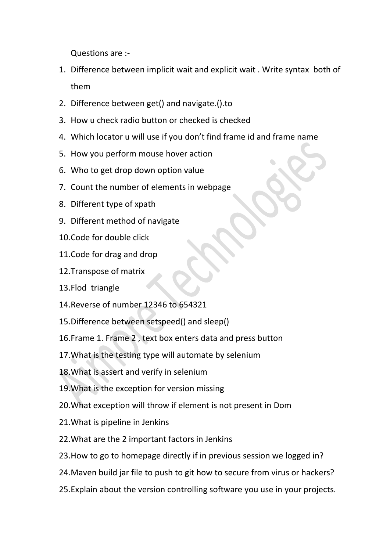Questions are :-

- 1. Difference between implicit wait and explicit wait . Write syntax both of them
- 2. Difference between get() and navigate.().to
- 3. How u check radio button or checked is checked
- 4. Which locator u will use if you don't find frame id and frame name
- 5. How you perform mouse hover action
- 6. Who to get drop down option value
- 7. Count the number of elements in webpage
- 8. Different type of xpath
- 9. Different method of navigate
- 10.Code for double click
- 11.Code for drag and drop
- 12.Transpose of matrix
- 13.Flod triangle
- 14.Reverse of number 12346 to 654321
- 15.Difference between setspeed() and sleep()
- 16.Frame 1. Frame 2 , text box enters data and press button
- 17.What is the testing type will automate by selenium
- 18.What is assert and verify in selenium
- 19.What is the exception for version missing
- 20.What exception will throw if element is not present in Dom
- 21.What is pipeline in Jenkins
- 22.What are the 2 important factors in Jenkins
- 23.How to go to homepage directly if in previous session we logged in?
- 24.Maven build jar file to push to git how to secure from virus or hackers?
- 25.Explain about the version controlling software you use in your projects.